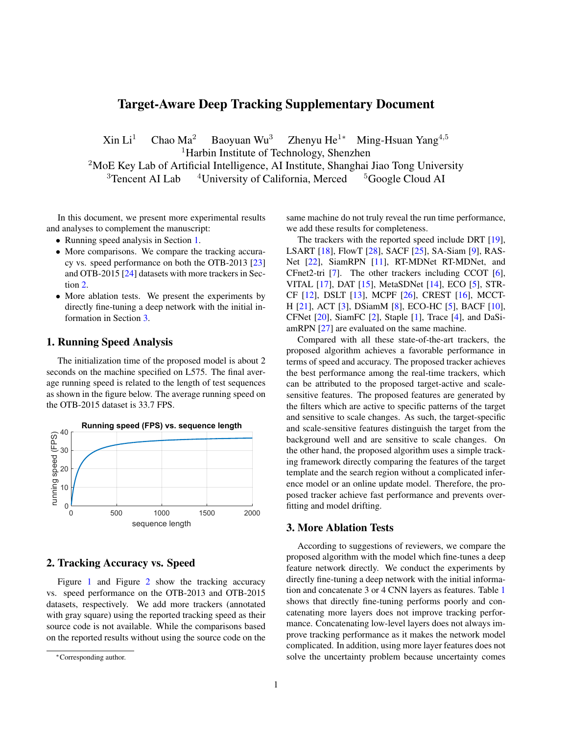# <span id="page-0-3"></span>Target-Aware Deep Tracking Supplementary Document

 $\mathrm{Xin} \mathrm{Li}^1$  Chao Ma<sup>2</sup> Baoyuan Wu<sup>3</sup> Zhenyu He<sup>1∗</sup> Ming-Hsuan Yang<sup>4,5</sup> <sup>1</sup>Harbin Institute of Technology, Shenzhen <sup>2</sup>MoE Key Lab of Artificial Intelligence, AI Institute, Shanghai Jiao Tong University <sup>3</sup>Tencent AI Lab  $4$ University of California, Merced  $5$ Google Cloud AI

In this document, we present more experimental results and analyses to complement the manuscript:

- Running speed analysis in Section [1.](#page-0-0)
- More comparisons. We compare the tracking accuracy vs. speed performance on both the OTB-2013 [\[23\]](#page-3-0) and OTB-2015 [\[24\]](#page-3-1) datasets with more trackers in Section [2.](#page-0-1)
- More ablation tests. We present the experiments by directly fine-tuning a deep network with the initial information in Section [3.](#page-0-2)

## <span id="page-0-0"></span>1. Running Speed Analysis

The initialization time of the proposed model is about 2 seconds on the machine specified on L575. The final average running speed is related to the length of test sequences as shown in the figure below. The average running speed on the OTB-2015 dataset is 33.7 FPS.



### <span id="page-0-1"></span>2. Tracking Accuracy vs. Speed

Figure [1](#page-1-0) and Figure [2](#page-1-1) show the tracking accuracy vs. speed performance on the OTB-2013 and OTB-2015 datasets, respectively. We add more trackers (annotated with gray square) using the reported tracking speed as their source code is not available. While the comparisons based on the reported results without using the source code on the same machine do not truly reveal the run time performance, we add these results for completeness.

The trackers with the reported speed include DRT [\[19\]](#page-3-2), LSART [\[18\]](#page-3-3), FlowT [\[28\]](#page-3-4), SACF [\[25\]](#page-3-5), SA-Siam [\[9\]](#page-3-6), RAS-Net [\[22\]](#page-3-7), SiamRPN [\[11\]](#page-3-8), RT-MDNet RT-MDNet, and CFnet2-tri [\[7\]](#page-3-9). The other trackers including CCOT [\[6\]](#page-3-10), VITAL [\[17\]](#page-3-11), DAT [\[15\]](#page-3-12), MetaSDNet [\[14\]](#page-3-13), ECO [\[5\]](#page-3-14), STR-CF [\[12\]](#page-3-15), DSLT [\[13\]](#page-3-16), MCPF [\[26\]](#page-3-17), CREST [\[16\]](#page-3-18), MCCT-H [\[21\]](#page-3-19), ACT [\[3\]](#page-3-20), DSiamM [\[8\]](#page-3-21), ECO-HC [\[5\]](#page-3-14), BACF [\[10\]](#page-3-22), CFNet [\[20\]](#page-3-23), SiamFC [\[2\]](#page-3-24), Staple [\[1\]](#page-3-25), Trace [\[4\]](#page-3-26), and DaSiamRPN [\[27\]](#page-3-27) are evaluated on the same machine.

Compared with all these state-of-the-art trackers, the proposed algorithm achieves a favorable performance in terms of speed and accuracy. The proposed tracker achieves the best performance among the real-time trackers, which can be attributed to the proposed target-active and scalesensitive features. The proposed features are generated by the filters which are active to specific patterns of the target and sensitive to scale changes. As such, the target-specific and scale-sensitive features distinguish the target from the background well and are sensitive to scale changes. On the other hand, the proposed algorithm uses a simple tracking framework directly comparing the features of the target template and the search region without a complicated inference model or an online update model. Therefore, the proposed tracker achieve fast performance and prevents overfitting and model drifting.

#### <span id="page-0-2"></span>3. More Ablation Tests

According to suggestions of reviewers, we compare the proposed algorithm with the model which fine-tunes a deep feature network directly. We conduct the experiments by directly fine-tuning a deep network with the initial information and concatenate 3 or 4 CNN layers as features. Table [1](#page-2-0) shows that directly fine-tuning performs poorly and concatenating more layers does not improve tracking performance. Concatenating low-level layers does not always improve tracking performance as it makes the network model complicated. In addition, using more layer features does not solve the uncertainty problem because uncertainty comes

<sup>∗</sup>Corresponding author.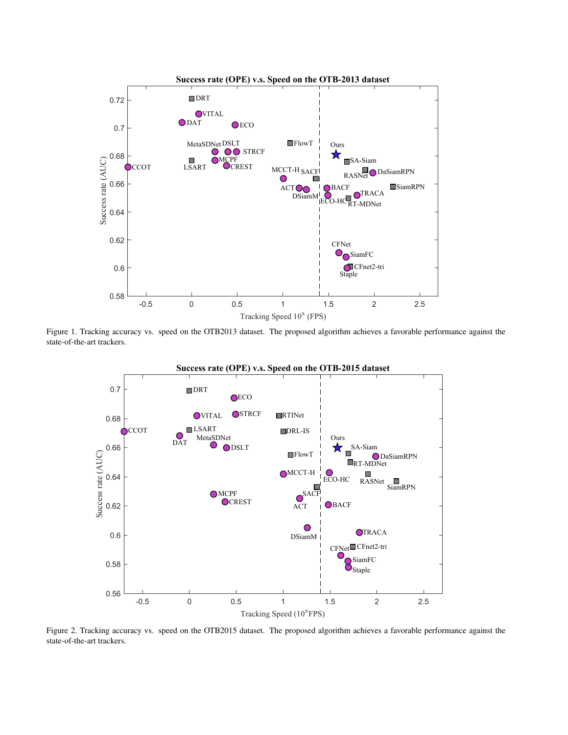

<span id="page-1-0"></span>Figure 1. Tracking accuracy vs. speed on the OTB2013 dataset. The proposed algorithm achieves a favorable performance against the state-of-the-art trackers.



<span id="page-1-1"></span>Figure 2. Tracking accuracy vs. speed on the OTB2015 dataset. The proposed algorithm achieves a favorable performance against the state-of-the-art trackers.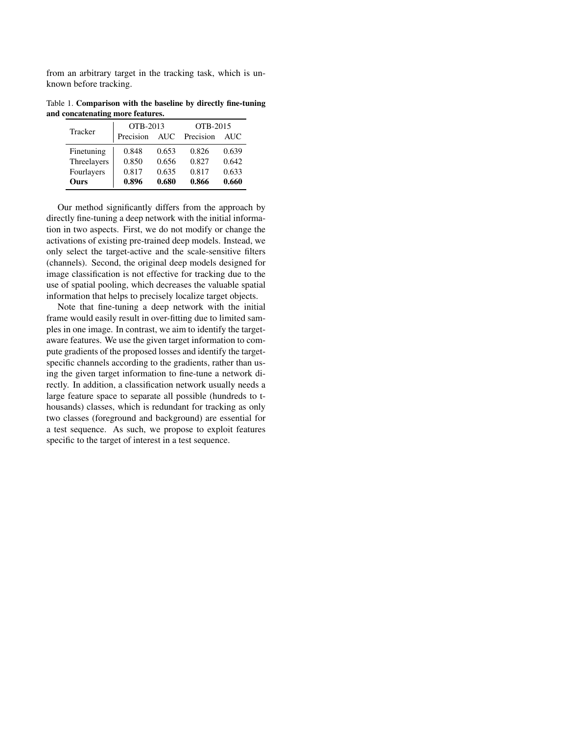from an arbitrary target in the tracking task, which is unknown before tracking.

Table 1. Comparison with the baseline by directly fine-tuning and concatenating more features.

<span id="page-2-0"></span>

| Tracker     | OTB-2013  |            | OTB-2015  |            |
|-------------|-----------|------------|-----------|------------|
|             | Precision | <b>AUC</b> | Precision | <b>AUC</b> |
| Finetuning  | 0.848     | 0.653      | 0.826     | 0.639      |
| Threelayers | 0.850     | 0.656      | 0.827     | 0.642      |
| Fourlayers  | 0.817     | 0.635      | 0.817     | 0.633      |
| <b>Ours</b> | 0.896     | 0.680      | 0.866     | 0.660      |

Our method significantly differs from the approach by directly fine-tuning a deep network with the initial information in two aspects. First, we do not modify or change the activations of existing pre-trained deep models. Instead, we only select the target-active and the scale-sensitive filters (channels). Second, the original deep models designed for image classification is not effective for tracking due to the use of spatial pooling, which decreases the valuable spatial information that helps to precisely localize target objects.

Note that fine-tuning a deep network with the initial frame would easily result in over-fitting due to limited samples in one image. In contrast, we aim to identify the targetaware features. We use the given target information to compute gradients of the proposed losses and identify the targetspecific channels according to the gradients, rather than using the given target information to fine-tune a network directly. In addition, a classification network usually needs a large feature space to separate all possible (hundreds to thousands) classes, which is redundant for tracking as only two classes (foreground and background) are essential for a test sequence. As such, we propose to exploit features specific to the target of interest in a test sequence.